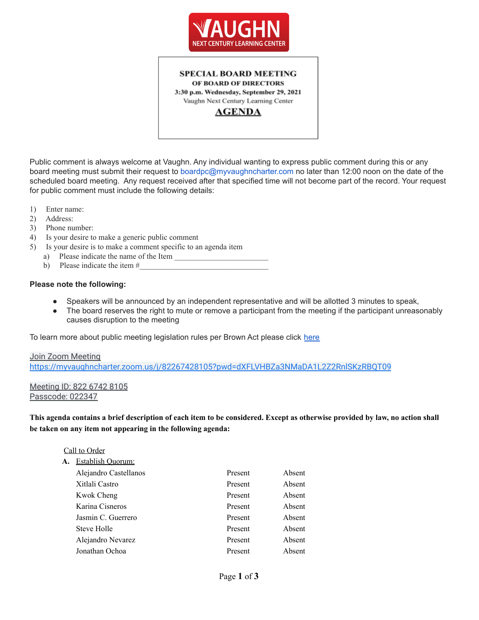



Public comment is always welcome at Vaughn. Any individual wanting to express public comment during this or any board meeting must submit their request to boardpc@myvaughncharter.com no later than 12:00 noon on the date of the scheduled board meeting. Any request received after that specified time will not become part of the record. Your request for public comment must include the following details:

- 1) Enter name:
- 2) Address:
- 3) Phone number:
- 4) Is your desire to make a generic public comment
- 5) Is your desire is to make a comment specific to an agenda item
	- a) Please indicate the name of the Item
	- b) Please indicate the item  $#_2$

#### **Please note the following:**

- Speakers will be announced by an independent representative and will be allotted 3 minutes to speak,
- The board reserves the right to mute or remove a participant from the meeting if the participant unreasonably causes disruption to the meeting

To learn more about public meeting legislation rules per Brown Act please click [here](https://leginfo.legislature.ca.gov/faces/billTextClient.xhtml?bill_id=201520160AB1787)

#### Join Zoom Meeting <https://myvaughncharter.zoom.us/j/82267428105?pwd=dXFLVHBZa3NMaDA1L2Z2RnlSKzRBQT09>

#### Meeting ID: 822 6742 8105 Passcode: 022347

This agenda contains a brief description of each item to be considered. Except as otherwise provided by law, no action shall **be taken on any item not appearing in the following agenda:**

#### Call to Order

| А. | Establish Quorum:     |         |        |
|----|-----------------------|---------|--------|
|    | Alejandro Castellanos | Present | Absent |
|    | Xitlali Castro        | Present | Absent |
|    | Kwok Cheng            | Present | Absent |
|    | Karina Cisneros       | Present | Absent |
|    | Jasmin C. Guerrero    | Present | Absent |
|    | Steve Holle           | Present | Absent |
|    | Alejandro Nevarez     | Present | Absent |
|    | Jonathan Ochoa        | Present | Absent |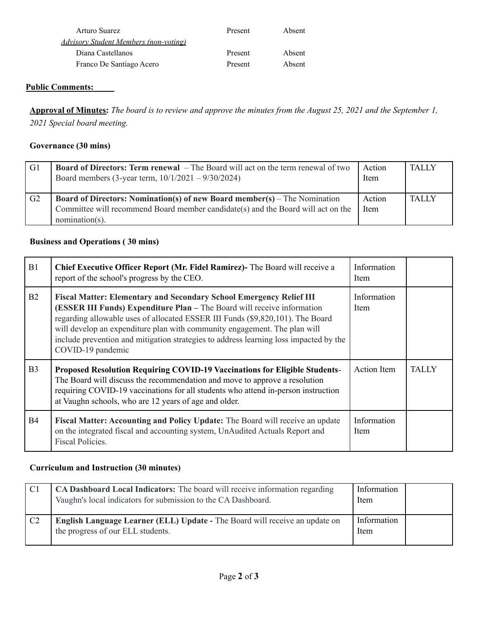| Arturo Suarez                                 | Present | Absent |
|-----------------------------------------------|---------|--------|
| <u> Advisory Student Members (non-voting)</u> |         |        |
| Diana Castellanos                             | Present | Absent |
| Franco De Santiago Acero                      | Present | Absent |

## **Public Comments:**

Approval of Minutes: The board is to review and approve the minutes from the August 25, 2021 and the September 1, *2021 Special board meeting.*

#### **Governance (30 mins)**

| G1 | <b>Board of Directors: Term renewal</b> – The Board will act on the term renewal of two<br>Board members (3-year term, $10/1/2021 - 9/30/2024$ )                                          | Action<br>Item | <b>TALLY</b> |
|----|-------------------------------------------------------------------------------------------------------------------------------------------------------------------------------------------|----------------|--------------|
| G2 | <b>Board of Directors: Nomination(s) of new Board member(s)</b> – The Nomination<br>Committee will recommend Board member candidate(s) and the Board will act on the<br>$nomination(s)$ . | Action<br>Item | <b>TALLY</b> |

## **Business and Operations ( 30 mins)**

| B1             | Chief Executive Officer Report (Mr. Fidel Ramirez)- The Board will receive a<br>report of the school's progress by the CEO.                                                                                                                                                                                                                                                                                                        | Information<br>Item |              |
|----------------|------------------------------------------------------------------------------------------------------------------------------------------------------------------------------------------------------------------------------------------------------------------------------------------------------------------------------------------------------------------------------------------------------------------------------------|---------------------|--------------|
| B <sub>2</sub> | <b>Fiscal Matter: Elementary and Secondary School Emergency Relief III</b><br>(ESSER III Funds) Expenditure Plan - The Board will receive information<br>regarding allowable uses of allocated ESSER III Funds (\$9,820,101). The Board<br>will develop an expenditure plan with community engagement. The plan will<br>include prevention and mitigation strategies to address learning loss impacted by the<br>COVID-19 pandemic | Information<br>Item |              |
| B <sub>3</sub> | Proposed Resolution Requiring COVID-19 Vaccinations for Eligible Students-<br>The Board will discuss the recommendation and move to approve a resolution<br>requiring COVID-19 vaccinations for all students who attend in-person instruction<br>at Vaughn schools, who are 12 years of age and older.                                                                                                                             | Action Item         | <b>TALLY</b> |
| <b>B4</b>      | <b>Fiscal Matter: Accounting and Policy Update:</b> The Board will receive an update<br>on the integrated fiscal and accounting system, UnAudited Actuals Report and<br>Fiscal Policies.                                                                                                                                                                                                                                           | Information<br>Item |              |

# **Curriculum and Instruction (30 minutes)**

| C <sub>1</sub> | CA Dashboard Local Indicators: The board will receive information regarding<br>Vaughn's local indicators for submission to the CA Dashboard. | Information<br>Item |  |
|----------------|----------------------------------------------------------------------------------------------------------------------------------------------|---------------------|--|
| C <sub>2</sub> | <b>English Language Learner (ELL) Update - The Board will receive an update on</b><br>the progress of our ELL students.                      | Information<br>Item |  |